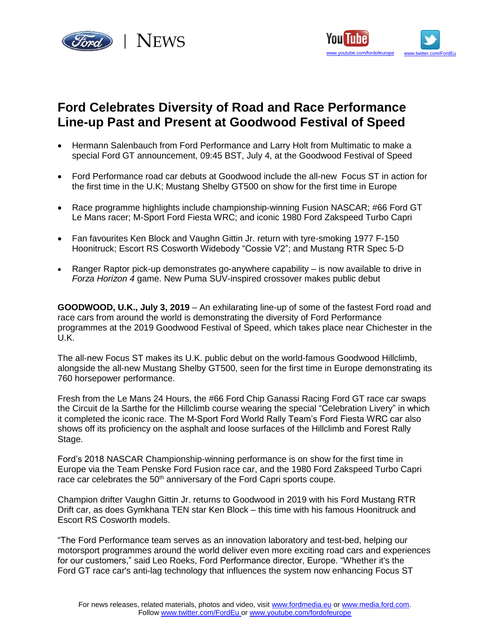



# **Ford Celebrates Diversity of Road and Race Performance Line-up Past and Present at Goodwood Festival of Speed**

- Hermann Salenbauch from Ford Performance and Larry Holt from Multimatic to make a special Ford GT announcement, 09:45 BST, July 4, at the Goodwood Festival of Speed
- Ford Performance road car debuts at Goodwood include the all-new Focus ST in action for the first time in the U.K; Mustang Shelby GT500 on show for the first time in Europe
- Race programme highlights include championship-winning Fusion NASCAR; #66 Ford GT Le Mans racer; M-Sport Ford Fiesta WRC; and iconic 1980 Ford Zakspeed Turbo Capri
- Fan favourites Ken Block and Vaughn Gittin Jr. return with tyre-smoking 1977 F-150 Hoonitruck; Escort RS Cosworth Widebody "Cossie V2"; and Mustang RTR Spec 5-D
- Ranger Raptor pick-up demonstrates go-anywhere capability is now available to drive in *Forza Horizon 4* game. New Puma SUV-inspired crossover makes public debut

**GOODWOOD, U.K., July 3, 2019** – An exhilarating line-up of some of the fastest Ford road and race cars from around the world is demonstrating the diversity of Ford Performance programmes at the 2019 Goodwood Festival of Speed, which takes place near Chichester in the U.K.

The all-new Focus ST makes its U.K. public debut on the world-famous Goodwood Hillclimb, alongside the all-new Mustang Shelby GT500, seen for the first time in Europe demonstrating its 760 horsepower performance.

Fresh from the Le Mans 24 Hours, the #66 Ford Chip Ganassi Racing Ford GT race car swaps the Circuit de la Sarthe for the Hillclimb course wearing the special "Celebration Livery" in which it completed the iconic race. The M-Sport Ford World Rally Team's Ford Fiesta WRC car also shows off its proficiency on the asphalt and loose surfaces of the Hillclimb and Forest Rally Stage.

Ford's 2018 NASCAR Championship-winning performance is on show for the first time in Europe via the Team Penske Ford Fusion race car, and the 1980 Ford Zakspeed Turbo Capri race car celebrates the 50<sup>th</sup> anniversary of the Ford Capri sports coupe.

Champion drifter Vaughn Gittin Jr. returns to Goodwood in 2019 with his Ford Mustang RTR Drift car, as does Gymkhana TEN star Ken Block – this time with his famous Hoonitruck and Escort RS Cosworth models.

"The Ford Performance team serves as an innovation laboratory and test-bed, helping our motorsport programmes around the world deliver even more exciting road cars and experiences for our customers," said Leo Roeks, Ford Performance director, Europe. "Whether it's the Ford GT race car's anti-lag technology that influences the system now enhancing Focus ST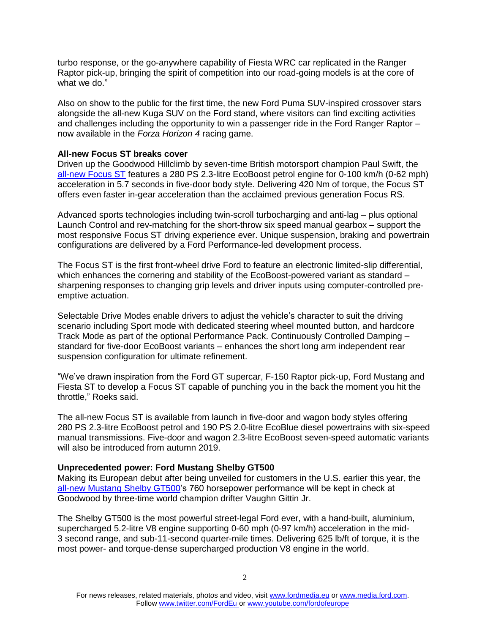turbo response, or the go-anywhere capability of Fiesta WRC car replicated in the Ranger Raptor pick-up, bringing the spirit of competition into our road-going models is at the core of what we do."

Also on show to the public for the first time, the new Ford Puma SUV-inspired crossover stars alongside the all-new Kuga SUV on the Ford stand, where visitors can find exciting activities and challenges including the opportunity to win a passenger ride in the Ford Ranger Raptor – now available in the *Forza Horizon 4* racing game.

### **All-new Focus ST breaks cover**

Driven up the Goodwood Hillclimb by seven-time British motorsport champion Paul Swift, the [all-new Focus ST](http://focus.fordpresskits.com/?p=focusst) features a 280 PS 2.3-litre EcoBoost petrol engine for 0-100 km/h (0-62 mph) acceleration in 5.7 seconds in five-door body style. Delivering 420 Nm of torque, the Focus ST offers even faster in-gear acceleration than the acclaimed previous generation Focus RS.

Advanced sports technologies including twin-scroll turbocharging and anti-lag – plus optional Launch Control and rev-matching for the short-throw six speed manual gearbox – support the most responsive Focus ST driving experience ever. Unique suspension, braking and powertrain configurations are delivered by a Ford Performance-led development process.

The Focus ST is the first front-wheel drive Ford to feature an electronic limited-slip differential, which enhances the cornering and stability of the EcoBoost-powered variant as standard – sharpening responses to changing grip levels and driver inputs using computer-controlled preemptive actuation.

Selectable Drive Modes enable drivers to adjust the vehicle's character to suit the driving scenario including Sport mode with dedicated steering wheel mounted button, and hardcore Track Mode as part of the optional Performance Pack. Continuously Controlled Damping – standard for five-door EcoBoost variants – enhances the short long arm independent rear suspension configuration for ultimate refinement.

"We've drawn inspiration from the Ford GT supercar, F-150 Raptor pick-up, Ford Mustang and Fiesta ST to develop a Focus ST capable of punching you in the back the moment you hit the throttle," Roeks said.

The all-new Focus ST is available from launch in five-door and wagon body styles offering 280 PS 2.3-litre EcoBoost petrol and 190 PS 2.0-litre EcoBlue diesel powertrains with six-speed manual transmissions. Five-door and wagon 2.3-litre EcoBoost seven-speed automatic variants will also be introduced from autumn 2019.

#### **Unprecedented power: Ford Mustang Shelby GT500**

Making its European debut after being unveiled for customers in the U.S. earlier this year, the [all-new Mustang Shelby GT500'](http://2020gt500.ford.com/Y2019/default.aspx)s 760 horsepower performance will be kept in check at Goodwood by three-time world champion drifter Vaughn Gittin Jr.

The Shelby GT500 is the most powerful street-legal Ford ever, with a hand-built, aluminium, supercharged 5.2-litre V8 engine supporting 0-60 mph (0-97 km/h) acceleration in the mid-3 second range, and sub-11-second quarter-mile times. Delivering 625 lb/ft of torque, it is the most power- and torque-dense supercharged production V8 engine in the world.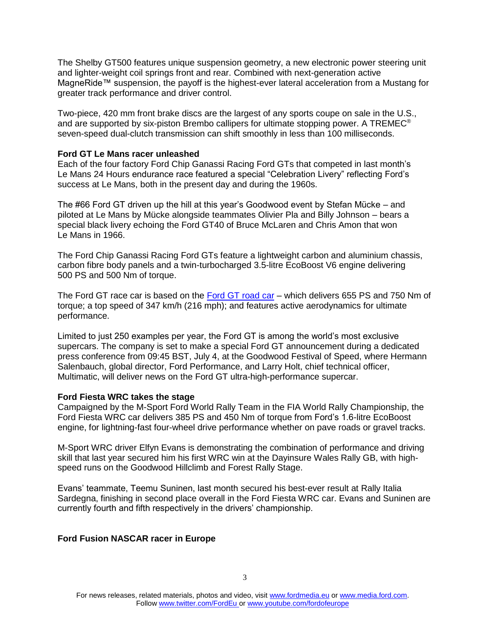The Shelby GT500 features unique suspension geometry, a new electronic power steering unit and lighter-weight coil springs front and rear. Combined with next-generation active MagneRide™ suspension, the payoff is the highest-ever lateral acceleration from a Mustang for greater track performance and driver control.

Two-piece, 420 mm front brake discs are the largest of any sports coupe on sale in the U.S., and are supported by six-piston Brembo callipers for ultimate stopping power. A TREMEC® seven-speed dual-clutch transmission can shift smoothly in less than 100 milliseconds.

#### **Ford GT Le Mans racer unleashed**

Each of the four factory Ford Chip Ganassi Racing Ford GTs that competed in last month's Le Mans 24 Hours endurance race featured a special "Celebration Livery" reflecting Ford's success at Le Mans, both in the present day and during the 1960s.

The #66 Ford GT driven up the hill at this year's Goodwood event by Stefan Mücke – and piloted at Le Mans by Mücke alongside teammates Olivier Pla and Billy Johnson – bears a special black livery echoing the Ford GT40 of Bruce McLaren and Chris Amon that won Le Mans in 1966.

The Ford Chip Ganassi Racing Ford GTs feature a lightweight carbon and aluminium chassis, carbon fibre body panels and a twin-turbocharged 3.5-litre EcoBoost V6 engine delivering 500 PS and 500 Nm of torque.

The Ford GT race car is based on the [Ford GT road car](http://fordgt.fordpresskits.com/) – which delivers 655 PS and 750 Nm of torque; a top speed of 347 km/h (216 mph); and features active aerodynamics for ultimate performance.

Limited to just 250 examples per year, the Ford GT is among the world's most exclusive supercars. The company is set to make a special Ford GT announcement during a dedicated press conference from 09:45 BST, July 4, at the Goodwood Festival of Speed, where Hermann Salenbauch, global director, Ford Performance, and Larry Holt, chief technical officer, Multimatic, will deliver news on the Ford GT ultra-high-performance supercar.

# **Ford Fiesta WRC takes the stage**

Campaigned by the M-Sport Ford World Rally Team in the FIA World Rally Championship, the Ford Fiesta WRC car delivers 385 PS and 450 Nm of torque from Ford's 1.6-litre EcoBoost engine, for lightning-fast four-wheel drive performance whether on pave roads or gravel tracks.

M-Sport WRC driver Elfyn Evans is demonstrating the combination of performance and driving skill that last year secured him his first WRC win at the Dayinsure Wales Rally GB, with highspeed runs on the Goodwood Hillclimb and Forest Rally Stage.

Evans' teammate, Teemu Suninen, last month secured his best-ever result at Rally Italia Sardegna, finishing in second place overall in the Ford Fiesta WRC car. Evans and Suninen are currently fourth and fifth respectively in the drivers' championship.

# **Ford Fusion NASCAR racer in Europe**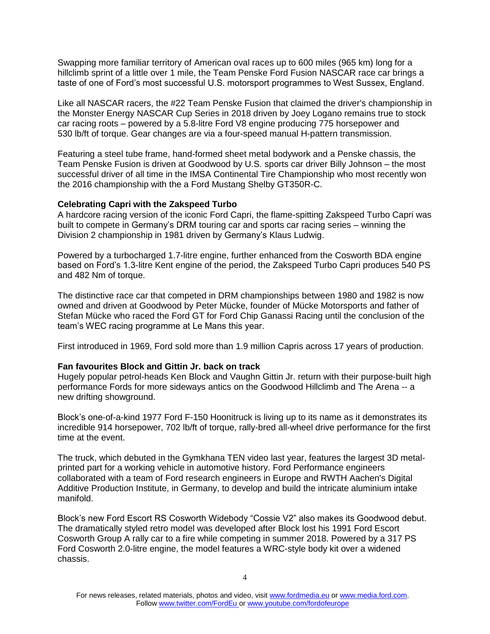Swapping more familiar territory of American oval races up to 600 miles (965 km) long for a hillclimb sprint of a little over 1 mile, the Team Penske Ford Fusion NASCAR race car brings a taste of one of Ford's most successful U.S. motorsport programmes to West Sussex, England.

Like all NASCAR racers, the #22 Team Penske Fusion that claimed the driver's championship in the Monster Energy NASCAR Cup Series in 2018 driven by Joey Logano remains true to stock car racing roots – powered by a 5.8-litre Ford V8 engine producing 775 horsepower and 530 lb/ft of torque. Gear changes are via a four-speed manual H-pattern transmission.

Featuring a steel tube frame, hand-formed sheet metal bodywork and a Penske chassis, the Team Penske Fusion is driven at Goodwood by U.S. sports car driver Billy Johnson – the most successful driver of all time in the IMSA Continental Tire Championship who most recently won the 2016 championship with the a Ford Mustang Shelby GT350R-C.

# **Celebrating Capri with the Zakspeed Turbo**

A hardcore racing version of the iconic Ford Capri, the flame-spitting Zakspeed Turbo Capri was built to compete in Germany's DRM touring car and sports car racing series – winning the Division 2 championship in 1981 driven by Germany's Klaus Ludwig.

Powered by a turbocharged 1.7-litre engine, further enhanced from the Cosworth BDA engine based on Ford's 1.3-litre Kent engine of the period, the Zakspeed Turbo Capri produces 540 PS and 482 Nm of torque.

The distinctive race car that competed in DRM championships between 1980 and 1982 is now owned and driven at Goodwood by Peter Mücke, founder of Mücke Motorsports and father of Stefan Mücke who raced the Ford GT for Ford Chip Ganassi Racing until the conclusion of the team's WEC racing programme at Le Mans this year.

First introduced in 1969, Ford sold more than 1.9 million Capris across 17 years of production.

# **Fan favourites Block and Gittin Jr. back on track**

Hugely popular petrol-heads Ken Block and Vaughn Gittin Jr. return with their purpose-built high performance Fords for more sideways antics on the Goodwood Hillclimb and The Arena -- a new drifting showground.

Block's one-of-a-kind 1977 Ford F-150 Hoonitruck is living up to its name as it demonstrates its incredible 914 horsepower, 702 lb/ft of torque, rally-bred all-wheel drive performance for the first time at the event.

The truck, which debuted in the Gymkhana TEN video last year, features the largest 3D metalprinted part for a working vehicle in automotive history. Ford Performance engineers collaborated with a team of Ford research engineers in Europe and RWTH Aachen's Digital Additive Production Institute, in Germany, to develop and build the intricate aluminium intake manifold.

Block's new Ford Escort RS Cosworth Widebody "Cossie V2" also makes its Goodwood debut. The dramatically styled retro model was developed after Block lost his 1991 Ford Escort Cosworth Group A rally car to a fire while competing in summer 2018. Powered by a 317 PS Ford Cosworth 2.0-litre engine, the model features a WRC-style body kit over a widened chassis.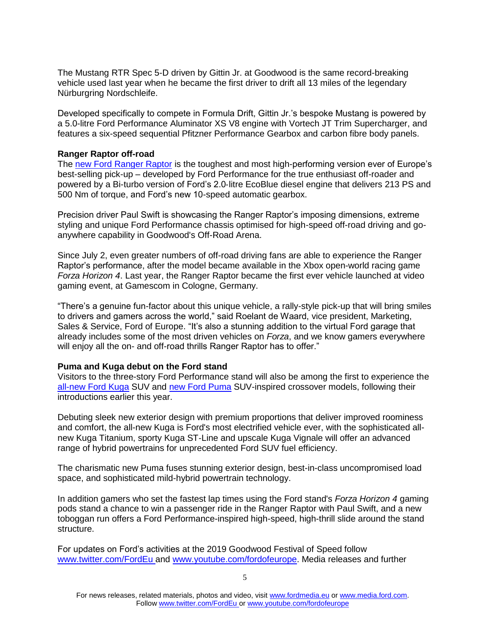The Mustang RTR Spec 5-D driven by Gittin Jr. at Goodwood is the same record-breaking vehicle used last year when he became the first driver to drift all 13 miles of the legendary Nürburgring Nordschleife.

Developed specifically to compete in Formula Drift, Gittin Jr.'s bespoke Mustang is powered by a 5.0-litre Ford Performance Aluminator XS V8 engine with Vortech JT Trim Supercharger, and features a six-speed sequential Pfitzner Performance Gearbox and carbon fibre body panels.

#### **Ranger Raptor off-road**

The [new Ford Ranger Raptor](https://media.ford.com/content/fordmedia/feu/en/news/2019/04/29/new-_bad-ass_-ford-ranger-raptor-brings-ultimate-off-road-pick-u.html) is the toughest and most high-performing version ever of Europe's best-selling pick-up – developed by Ford Performance for the true enthusiast off-roader and powered by a Bi-turbo version of Ford's 2.0‑litre EcoBlue diesel engine that delivers 213 PS and 500 Nm of torque, and Ford's new 10-speed automatic gearbox.

Precision driver Paul Swift is showcasing the Ranger Raptor's imposing dimensions, extreme styling and unique Ford Performance chassis optimised for high-speed off-road driving and goanywhere capability in Goodwood's Off-Road Arena.

Since July 2, even greater numbers of off-road driving fans are able to experience the Ranger Raptor's performance, after the model became available in the Xbox open-world racing game *Forza Horizon 4*. Last year, the Ranger Raptor became the first ever vehicle launched at video gaming event, at Gamescom in Cologne, Germany.

"There's a genuine fun-factor about this unique vehicle, a rally-style pick-up that will bring smiles to drivers and gamers across the world," said Roelant de Waard, vice president, Marketing, Sales & Service, Ford of Europe. "It's also a stunning addition to the virtual Ford garage that already includes some of the most driven vehicles on *Forza*, and we know gamers everywhere will enjoy all the on- and off-road thrills Ranger Raptor has to offer."

## **Puma and Kuga debut on the Ford stand**

Visitors to the three-story Ford Performance stand will also be among the first to experience the [all-new Ford Kuga](http://kuga.fordpresskits.com/) SUV and [new Ford Puma](http://puma.fordpresskits.com/) SUV-inspired crossover models, following their introductions earlier this year.

Debuting sleek new exterior design with premium proportions that deliver improved roominess and comfort, the all-new Kuga is Ford's most electrified vehicle ever, with the sophisticated allnew Kuga Titanium, sporty Kuga ST‑Line and upscale Kuga Vignale will offer an advanced range of hybrid powertrains for unprecedented Ford SUV fuel efficiency.

The charismatic new Puma fuses stunning exterior design, best-in-class uncompromised load space, and sophisticated mild-hybrid powertrain technology.

In addition gamers who set the fastest lap times using the Ford stand's *Forza Horizon 4* gaming pods stand a chance to win a passenger ride in the Ranger Raptor with Paul Swift, and a new toboggan run offers a Ford Performance-inspired high-speed, high-thrill slide around the stand structure.

For updates on Ford's activities at the 2019 Goodwood Festival of Speed follow [www.twitter.com/FordEu](http://www.twitter.com/FordEu) and [www.youtube.com/fordofeurope.](http://www.youtube.com/fordofeurope) Media releases and further